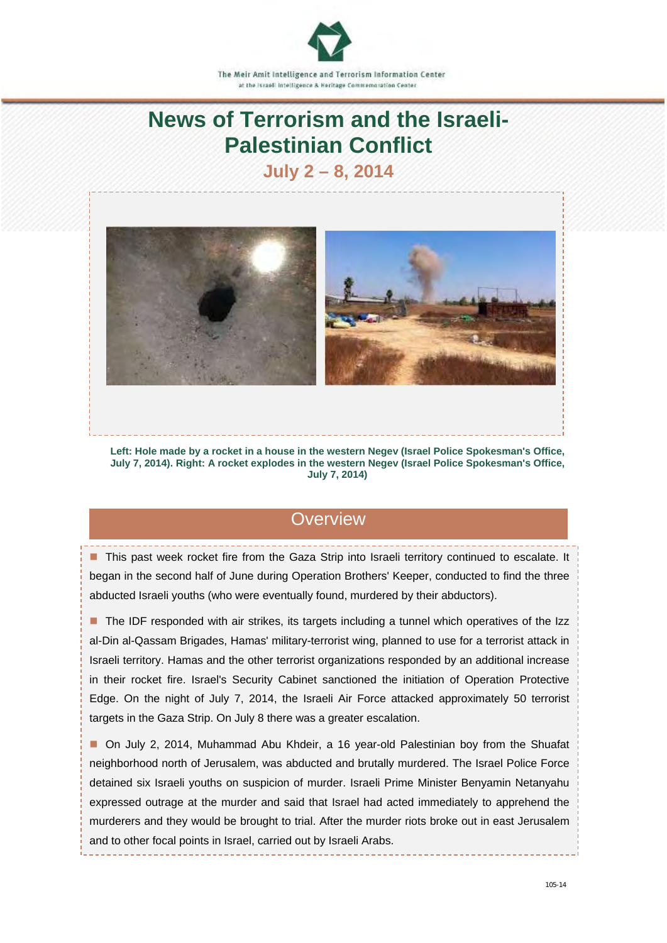

# **News of Terrorism and the Israeli-Palestinian Conflict**

## **July 2 – 8, 2014**



**Left: Hole made by a rocket in a house in the western Negev (Israel Police Spokesman's Office, July 7, 2014). Right: A rocket explodes in the western Negev (Israel Police Spokesman's Office, July 7, 2014)** 

### **Overview**

■ This past week rocket fire from the Gaza Strip into Israeli territory continued to escalate. It began in the second half of June during Operation Brothers' Keeper, conducted to find the three abducted Israeli youths (who were eventually found, murdered by their abductors).

■ The IDF responded with air strikes, its targets including a tunnel which operatives of the Izz al-Din al-Qassam Brigades, Hamas' military-terrorist wing, planned to use for a terrorist attack in Israeli territory. Hamas and the other terrorist organizations responded by an additional increase in their rocket fire. Israel's Security Cabinet sanctioned the initiation of Operation Protective Edge. On the night of July 7, 2014, the Israeli Air Force attacked approximately 50 terrorist targets in the Gaza Strip. On July 8 there was a greater escalation.

 On July 2, 2014, Muhammad Abu Khdeir, a 16 year-old Palestinian boy from the Shuafat neighborhood north of Jerusalem, was abducted and brutally murdered. The Israel Police Force detained six Israeli youths on suspicion of murder. Israeli Prime Minister Benyamin Netanyahu expressed outrage at the murder and said that Israel had acted immediately to apprehend the murderers and they would be brought to trial. After the murder riots broke out in east Jerusalem and to other focal points in Israel, carried out by Israeli Arabs.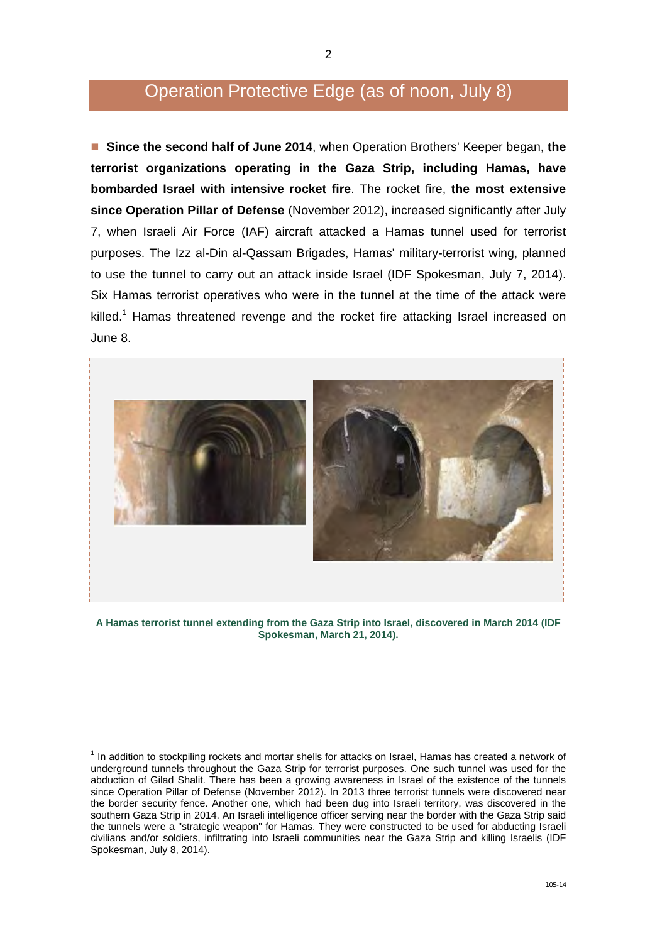## Operation Protective Edge (as of noon, July 8)

 **Since the second half of June 2014**, when Operation Brothers' Keeper began, **the terrorist organizations operating in the Gaza Strip, including Hamas, have bombarded Israel with intensive rocket fire**. The rocket fire, **the most extensive since Operation Pillar of Defense** (November 2012), increased significantly after July 7, when Israeli Air Force (IAF) aircraft attacked a Hamas tunnel used for terrorist purposes. The Izz al-Din al-Qassam Brigades, Hamas' military-terrorist wing, planned to use the tunnel to carry out an attack inside Israel (IDF Spokesman, July 7, 2014). Six Hamas terrorist operatives who were in the tunnel at the time of the attack were killed.<sup>1</sup> Hamas threatened revenge and the rocket fire attacking Israel increased on June 8.



**A Hamas terrorist tunnel extending from the Gaza Strip into Israel, discovered in March 2014 (IDF Spokesman, March 21, 2014).** 

-

 $<sup>1</sup>$  In addition to stockpiling rockets and mortar shells for attacks on Israel, Hamas has created a network of</sup> underground tunnels throughout the Gaza Strip for terrorist purposes. One such tunnel was used for the abduction of Gilad Shalit. There has been a growing awareness in Israel of the existence of the tunnels since Operation Pillar of Defense (November 2012). In 2013 three terrorist tunnels were discovered near the border security fence. Another one, which had been dug into Israeli territory, was discovered in the southern Gaza Strip in 2014. An Israeli intelligence officer serving near the border with the Gaza Strip said the tunnels were a "strategic weapon" for Hamas. They were constructed to be used for abducting Israeli civilians and/or soldiers, infiltrating into Israeli communities near the Gaza Strip and killing Israelis (IDF Spokesman, July 8, 2014).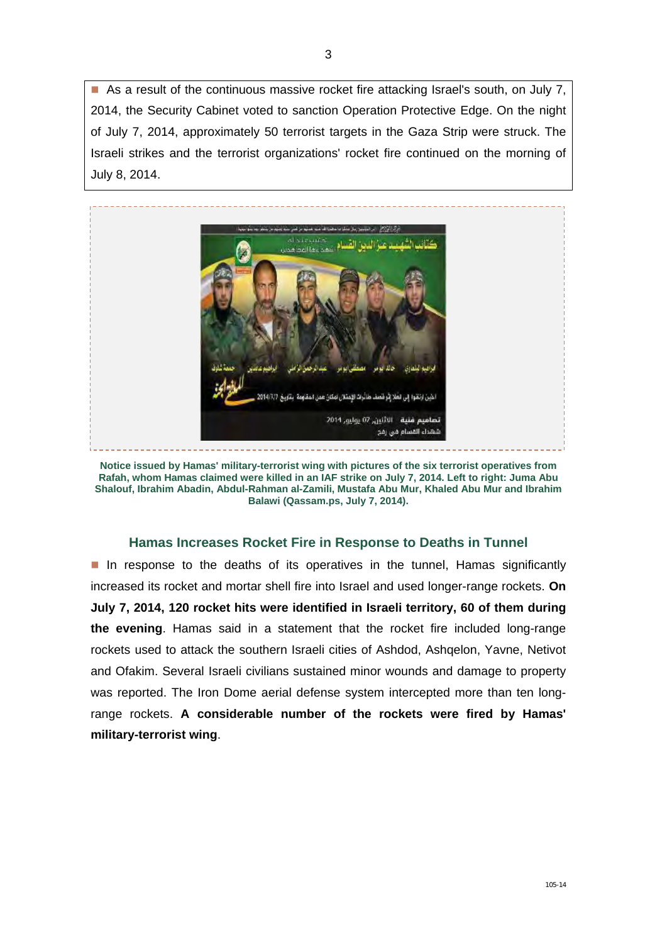As a result of the continuous massive rocket fire attacking Israel's south, on July 7, 2014, the Security Cabinet voted to sanction Operation Protective Edge. On the night of July 7, 2014, approximately 50 terrorist targets in the Gaza Strip were struck. The Israeli strikes and the terrorist organizations' rocket fire continued on the morning of July 8, 2014.



**Notice issued by Hamas' military-terrorist wing with pictures of the six terrorist operatives from Rafah, whom Hamas claimed were killed in an IAF strike on July 7, 2014. Left to right: Juma Abu Shalouf, Ibrahim Abadin, Abdul-Rahman al-Zamili, Mustafa Abu Mur, Khaled Abu Mur and Ibrahim Balawi (Qassam.ps, July 7, 2014).** 

#### **Hamas Increases Rocket Fire in Response to Deaths in Tunnel**

In response to the deaths of its operatives in the tunnel, Hamas significantly increased its rocket and mortar shell fire into Israel and used longer-range rockets. **On July 7, 2014, 120 rocket hits were identified in Israeli territory, 60 of them during the evening**. Hamas said in a statement that the rocket fire included long-range rockets used to attack the southern Israeli cities of Ashdod, Ashqelon, Yavne, Netivot and Ofakim. Several Israeli civilians sustained minor wounds and damage to property was reported. The Iron Dome aerial defense system intercepted more than ten longrange rockets. **A considerable number of the rockets were fired by Hamas' military-terrorist wing**.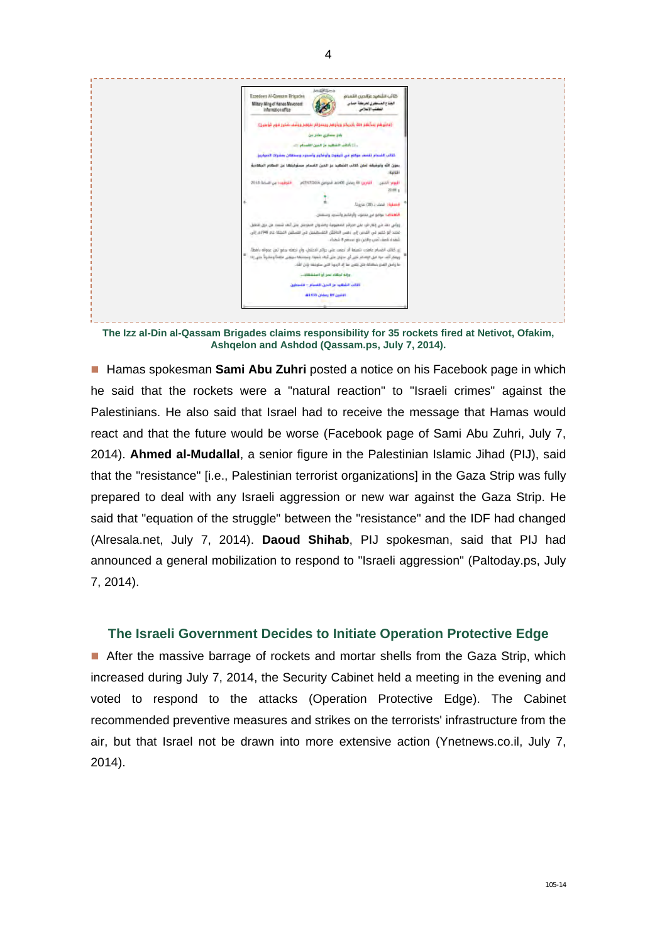

**The Izz al-Din al-Qassam Brigades claims responsibility for 35 rockets fired at Netivot, Ofakim, Ashqelon and Ashdod (Qassam.ps, July 7, 2014).** 

**Hamas spokesman Sami Abu Zuhri** posted a notice on his Facebook page in which he said that the rockets were a "natural reaction" to "Israeli crimes" against the Palestinians. He also said that Israel had to receive the message that Hamas would react and that the future would be worse (Facebook page of Sami Abu Zuhri, July 7, 2014). **Ahmed al-Mudallal**, a senior figure in the Palestinian Islamic Jihad (PIJ), said that the "resistance" [i.e., Palestinian terrorist organizations] in the Gaza Strip was fully prepared to deal with any Israeli aggression or new war against the Gaza Strip. He said that "equation of the struggle" between the "resistance" and the IDF had changed (Alresala.net, July 7, 2014). **Daoud Shihab**, PIJ spokesman, said that PIJ had announced a general mobilization to respond to "Israeli aggression" (Paltoday.ps, July 7, 2014).

#### **The Israeli Government Decides to Initiate Operation Protective Edge**

After the massive barrage of rockets and mortar shells from the Gaza Strip, which increased during July 7, 2014, the Security Cabinet held a meeting in the evening and voted to respond to the attacks (Operation Protective Edge). The Cabinet recommended preventive measures and strikes on the terrorists' infrastructure from the air, but that Israel not be drawn into more extensive action (Ynetnews.co.il, July 7, 2014).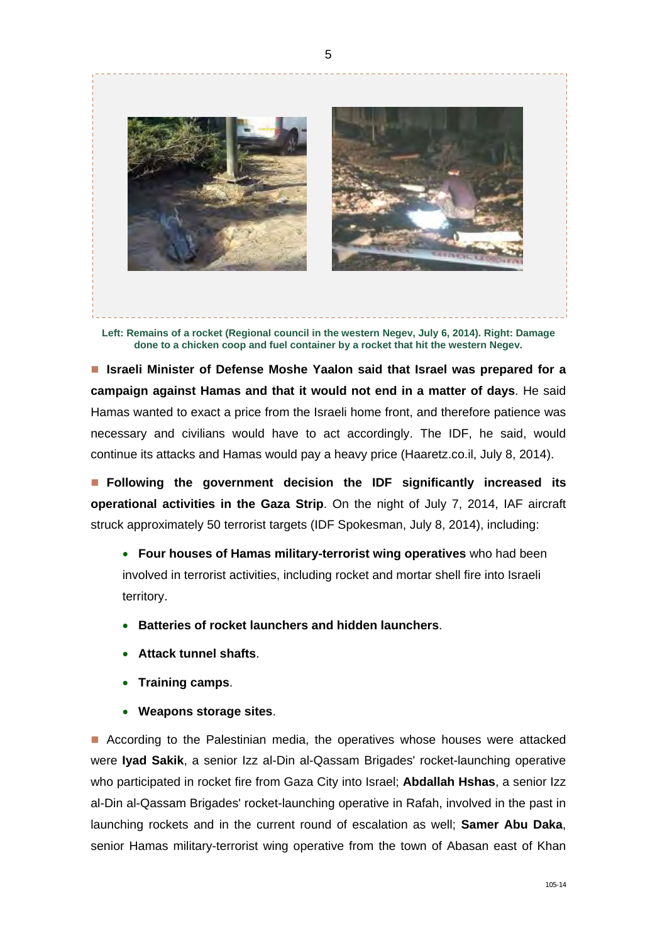

**Left: Remains of a rocket (Regional council in the western Negev, July 6, 2014). Right: Damage done to a chicken coop and fuel container by a rocket that hit the western Negev.** 

■ Israeli Minister of Defense Moshe Yaalon said that Israel was prepared for a **campaign against Hamas and that it would not end in a matter of days**. He said Hamas wanted to exact a price from the Israeli home front, and therefore patience was necessary and civilians would have to act accordingly. The IDF, he said, would continue its attacks and Hamas would pay a heavy price (Haaretz.co.il, July 8, 2014).

 **Following the government decision the IDF significantly increased its operational activities in the Gaza Strip**. On the night of July 7, 2014, IAF aircraft struck approximately 50 terrorist targets (IDF Spokesman, July 8, 2014), including:

- **Four houses of Hamas military-terrorist wing operatives** who had been involved in terrorist activities, including rocket and mortar shell fire into Israeli territory.
- **Batteries of rocket launchers and hidden launchers**.
- **Attack tunnel shafts**.
- **Training camps**.
- **Weapons storage sites**.

**According to the Palestinian media, the operatives whose houses were attacked** were **Iyad Sakik**, a senior Izz al-Din al-Qassam Brigades' rocket-launching operative who participated in rocket fire from Gaza City into Israel; **Abdallah Hshas**, a senior Izz al-Din al-Qassam Brigades' rocket-launching operative in Rafah, involved in the past in launching rockets and in the current round of escalation as well; **Samer Abu Daka**, senior Hamas military-terrorist wing operative from the town of Abasan east of Khan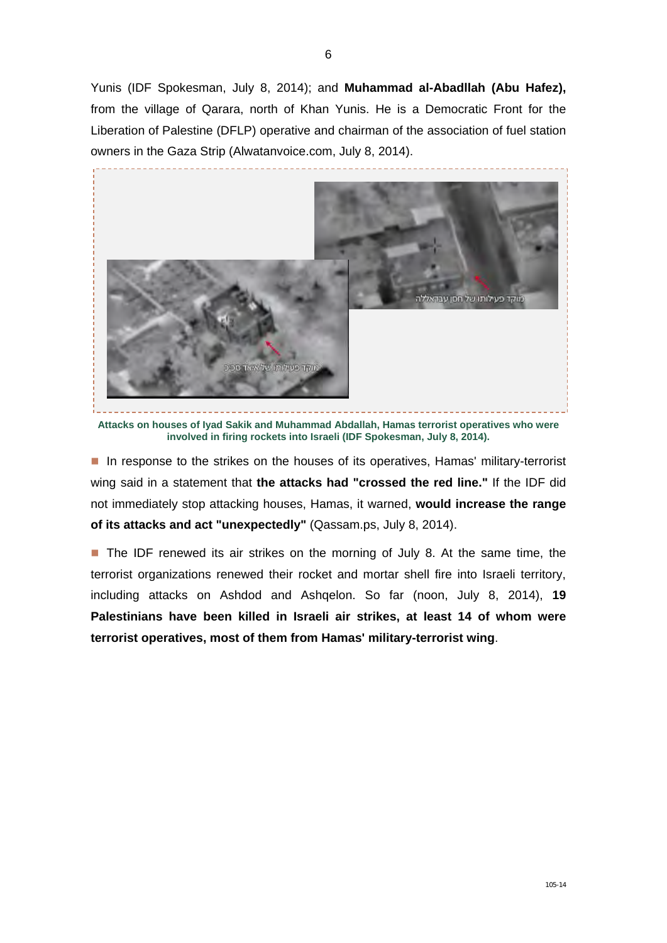Yunis (IDF Spokesman, July 8, 2014); and **Muhammad al-Abadllah (Abu Hafez),** from the village of Qarara, north of Khan Yunis. He is a Democratic Front for the Liberation of Palestine (DFLP) operative and chairman of the association of fuel station owners in the Gaza Strip (Alwatanvoice.com, July 8, 2014).



**Attacks on houses of Iyad Sakik and Muhammad Abdallah, Hamas terrorist operatives who were involved in firing rockets into Israeli (IDF Spokesman, July 8, 2014).** 

In response to the strikes on the houses of its operatives, Hamas' military-terrorist wing said in a statement that **the attacks had "crossed the red line."** If the IDF did not immediately stop attacking houses, Hamas, it warned, **would increase the range of its attacks and act "unexpectedly"** (Qassam.ps, July 8, 2014).

The IDF renewed its air strikes on the morning of July 8. At the same time, the terrorist organizations renewed their rocket and mortar shell fire into Israeli territory, including attacks on Ashdod and Ashqelon. So far (noon, July 8, 2014), **19 Palestinians have been killed in Israeli air strikes, at least 14 of whom were terrorist operatives, most of them from Hamas' military-terrorist wing**.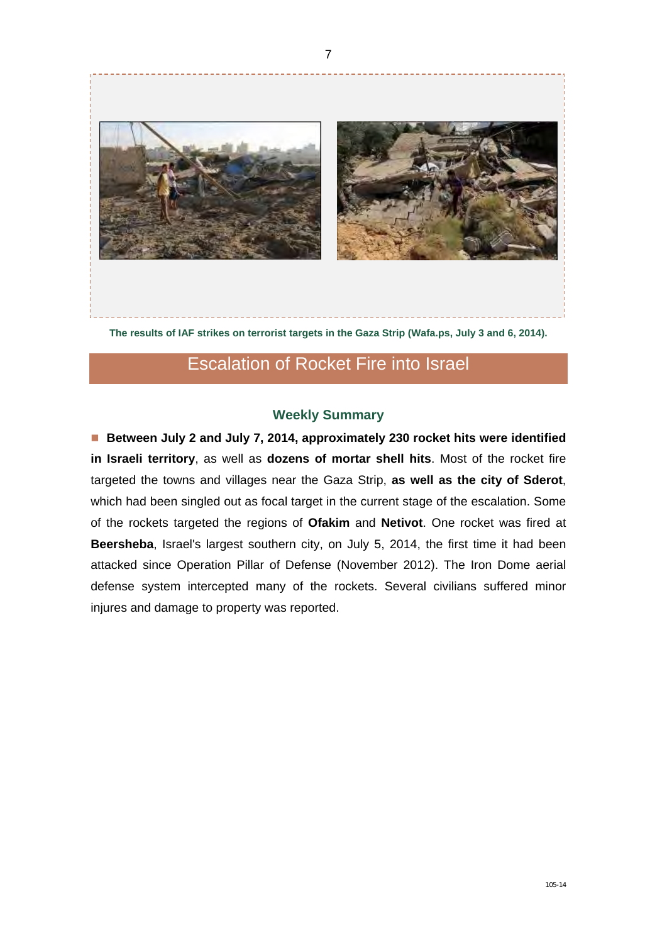

**The results of IAF strikes on terrorist targets in the Gaza Strip (Wafa.ps, July 3 and 6, 2014).**

## Escalation of Rocket Fire into Israel

#### **Weekly Summary**

■ Between July 2 and July 7, 2014, approximately 230 rocket hits were identified **in Israeli territory**, as well as **dozens of mortar shell hits**. Most of the rocket fire targeted the towns and villages near the Gaza Strip, **as well as the city of Sderot**, which had been singled out as focal target in the current stage of the escalation. Some of the rockets targeted the regions of **Ofakim** and **Netivot**. One rocket was fired at **Beersheba**, Israel's largest southern city, on July 5, 2014, the first time it had been attacked since Operation Pillar of Defense (November 2012). The Iron Dome aerial defense system intercepted many of the rockets. Several civilians suffered minor injures and damage to property was reported.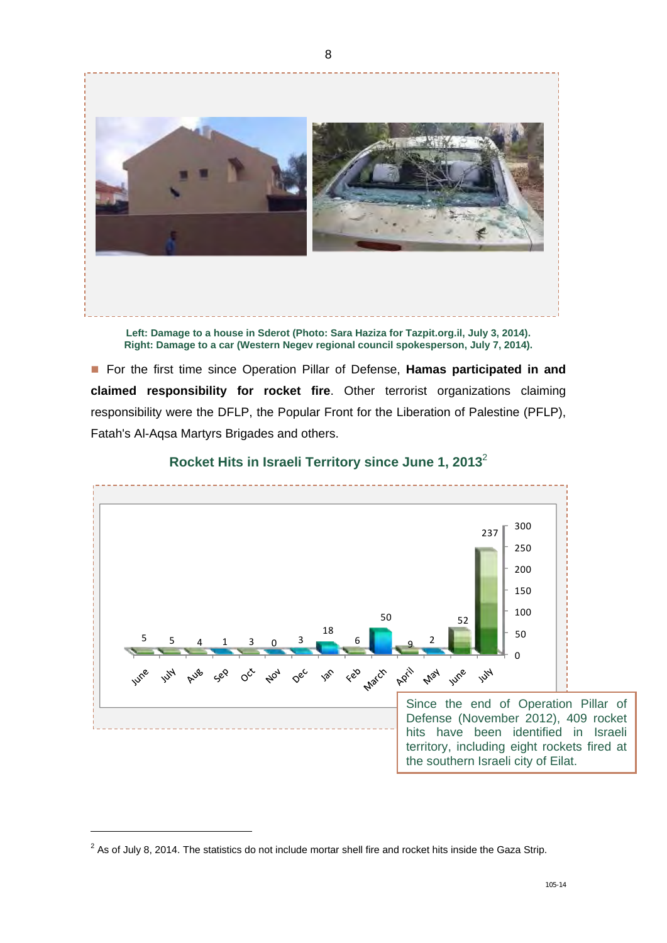

**Left: Damage to a house in Sderot (Photo: Sara Haziza for Tazpit.org.il, July 3, 2014). Right: Damage to a car (Western Negev regional council spokesperson, July 7, 2014).** 

■ For the first time since Operation Pillar of Defense, **Hamas participated in and claimed responsibility for rocket fire**. Other terrorist organizations claiming responsibility were the DFLP, the Popular Front for the Liberation of Palestine (PFLP), Fatah's Al-Aqsa Martyrs Brigades and others.



**Rocket Hits in Israeli Territory since June 1, 2013**<sup>2</sup>

 $\overline{a}$ 

 $2$  As of July 8, 2014. The statistics do not include mortar shell fire and rocket hits inside the Gaza Strip.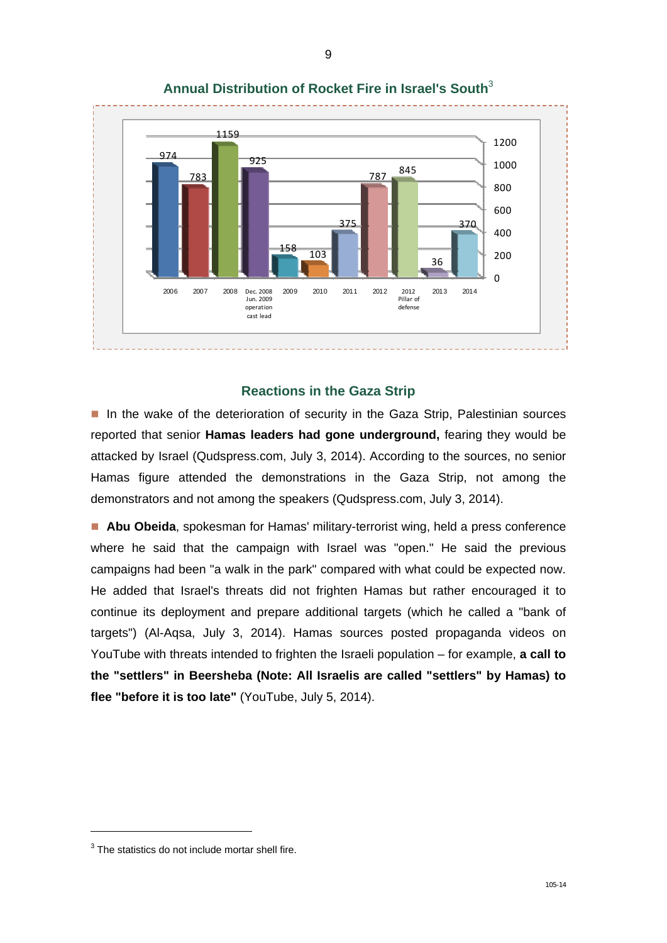

**Annual Distribution of Rocket Fire in Israel's South**<sup>3</sup>

### **Reactions in the Gaza Strip**

In the wake of the deterioration of security in the Gaza Strip, Palestinian sources reported that senior **Hamas leaders had gone underground,** fearing they would be attacked by Israel (Qudspress.com, July 3, 2014). According to the sources, no senior Hamas figure attended the demonstrations in the Gaza Strip, not among the demonstrators and not among the speakers (Qudspress.com, July 3, 2014).

 **Abu Obeida**, spokesman for Hamas' military-terrorist wing, held a press conference where he said that the campaign with Israel was "open." He said the previous campaigns had been "a walk in the park" compared with what could be expected now. He added that Israel's threats did not frighten Hamas but rather encouraged it to continue its deployment and prepare additional targets (which he called a "bank of targets") (Al-Aqsa, July 3, 2014). Hamas sources posted propaganda videos on YouTube with threats intended to frighten the Israeli population – for example, **a call to the "settlers" in Beersheba (Note: All Israelis are called "settlers" by Hamas) to flee "before it is too late"** (YouTube, July 5, 2014).

 $\overline{a}$ 

 $3$  The statistics do not include mortar shell fire.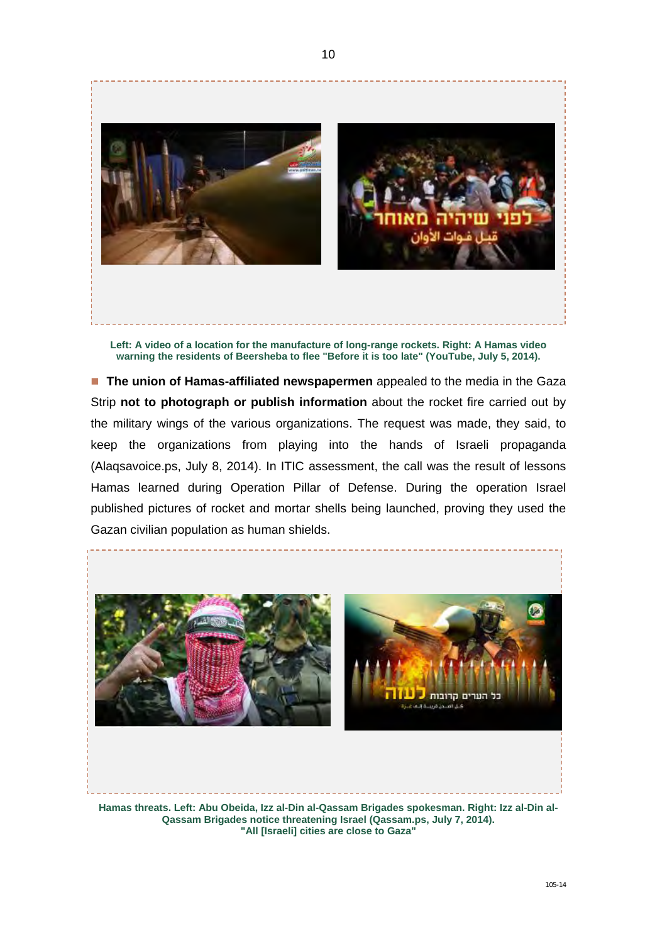

**Left: A video of a location for the manufacture of long-range rockets. Right: A Hamas video warning the residents of Beersheba to flee "Before it is too late" (YouTube, July 5, 2014).** 

**The union of Hamas-affiliated newspapermen** appealed to the media in the Gaza Strip **not to photograph or publish information** about the rocket fire carried out by the military wings of the various organizations. The request was made, they said, to keep the organizations from playing into the hands of Israeli propaganda (Alaqsavoice.ps, July 8, 2014). In ITIC assessment, the call was the result of lessons Hamas learned during Operation Pillar of Defense. During the operation Israel published pictures of rocket and mortar shells being launched, proving they used the Gazan civilian population as human shields.



**Hamas threats. Left: Abu Obeida, Izz al-Din al-Qassam Brigades spokesman. Right: Izz al-Din al-Qassam Brigades notice threatening Israel (Qassam.ps, July 7, 2014). "All [Israeli] cities are close to Gaza"**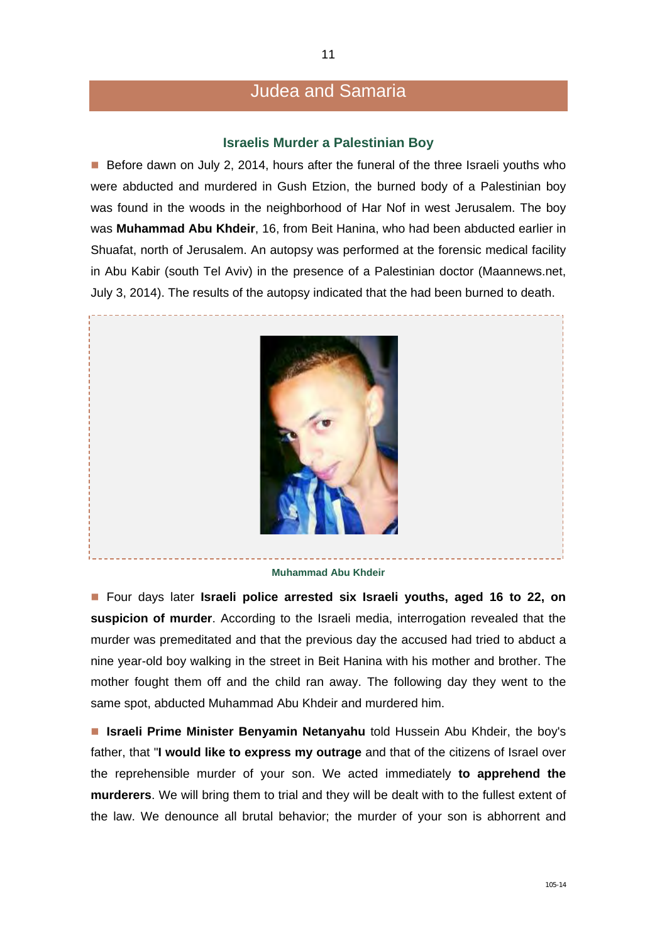### Judea and Samaria

#### **Israelis Murder a Palestinian Boy**

Before dawn on July 2, 2014, hours after the funeral of the three Israeli youths who were abducted and murdered in Gush Etzion, the burned body of a Palestinian boy was found in the woods in the neighborhood of Har Nof in west Jerusalem. The boy was **Muhammad Abu Khdeir**, 16, from Beit Hanina, who had been abducted earlier in Shuafat, north of Jerusalem. An autopsy was performed at the forensic medical facility in Abu Kabir (south Tel Aviv) in the presence of a Palestinian doctor (Maannews.net, July 3, 2014). The results of the autopsy indicated that the had been burned to death.



#### **Muhammad Abu Khdeir**

■ Four days later **Israeli police arrested six Israeli youths, aged 16 to 22, on suspicion of murder**. According to the Israeli media, interrogation revealed that the murder was premeditated and that the previous day the accused had tried to abduct a nine year-old boy walking in the street in Beit Hanina with his mother and brother. The mother fought them off and the child ran away. The following day they went to the same spot, abducted Muhammad Abu Khdeir and murdered him.

 **Israeli Prime Minister Benyamin Netanyahu** told Hussein Abu Khdeir, the boy's father, that "**I would like to express my outrage** and that of the citizens of Israel over the reprehensible murder of your son. We acted immediately **to apprehend the murderers**. We will bring them to trial and they will be dealt with to the fullest extent of the law. We denounce all brutal behavior; the murder of your son is abhorrent and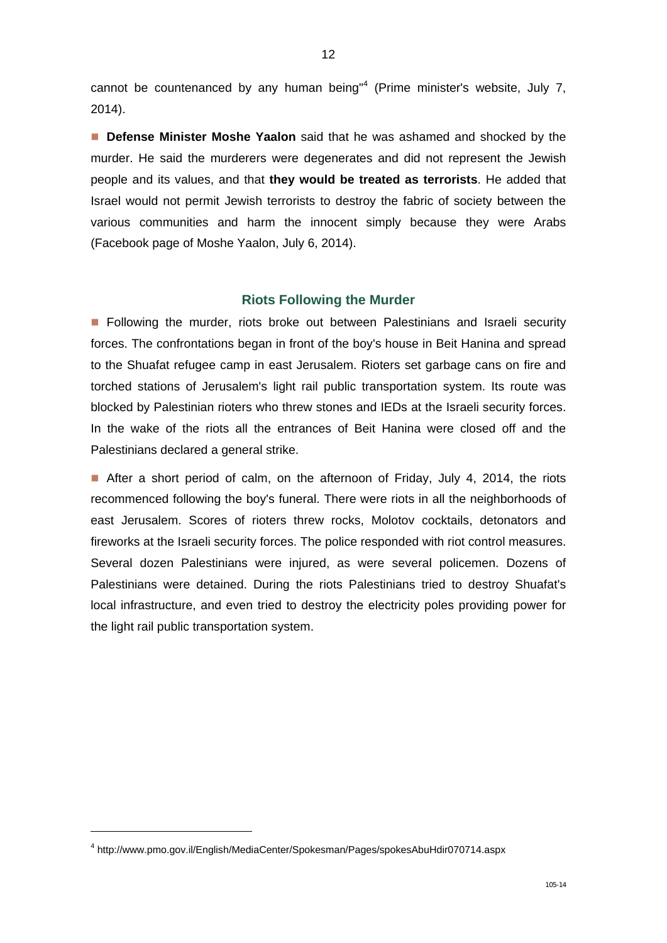cannot be countenanced by any human being<sup>"4</sup> (Prime minister's website, July 7, 2014).

**Defense Minister Moshe Yaalon** said that he was ashamed and shocked by the murder. He said the murderers were degenerates and did not represent the Jewish people and its values, and that **they would be treated as terrorists**. He added that Israel would not permit Jewish terrorists to destroy the fabric of society between the various communities and harm the innocent simply because they were Arabs (Facebook page of Moshe Yaalon, July 6, 2014).

#### **Riots Following the Murder**

**Following the murder, riots broke out between Palestinians and Israeli security** forces. The confrontations began in front of the boy's house in Beit Hanina and spread to the Shuafat refugee camp in east Jerusalem. Rioters set garbage cans on fire and torched stations of Jerusalem's light rail public transportation system. Its route was blocked by Palestinian rioters who threw stones and IEDs at the Israeli security forces. In the wake of the riots all the entrances of Beit Hanina were closed off and the Palestinians declared a general strike.

After a short period of calm, on the afternoon of Friday, July 4, 2014, the riots recommenced following the boy's funeral. There were riots in all the neighborhoods of east Jerusalem. Scores of rioters threw rocks, Molotov cocktails, detonators and fireworks at the Israeli security forces. The police responded with riot control measures. Several dozen Palestinians were injured, as were several policemen. Dozens of Palestinians were detained. During the riots Palestinians tried to destroy Shuafat's local infrastructure, and even tried to destroy the electricity poles providing power for the light rail public transportation system.

-

<sup>4</sup> http://www.pmo.gov.il/English/MediaCenter/Spokesman/Pages/spokesAbuHdir070714.aspx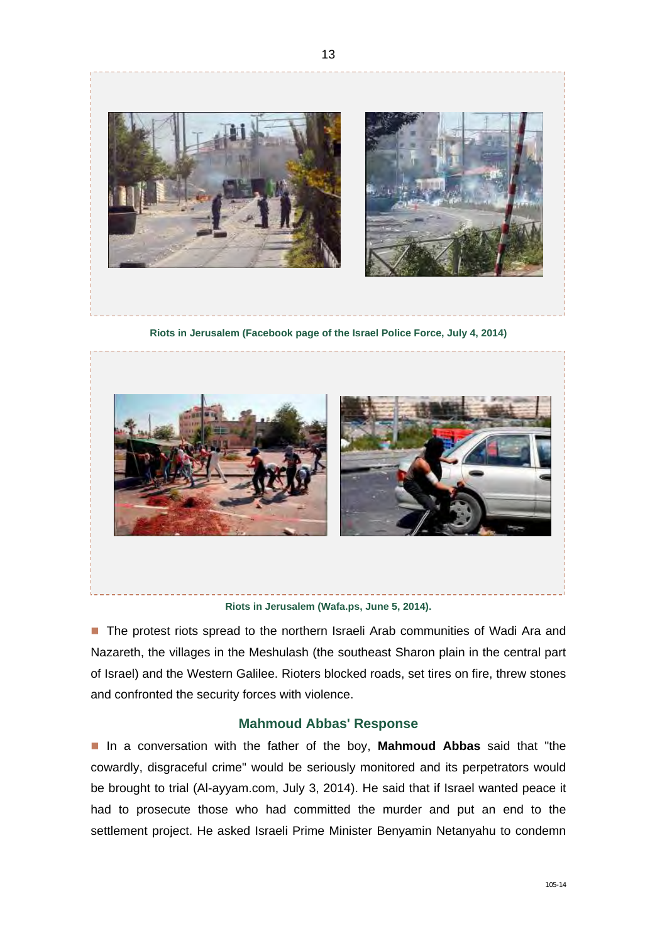



**Riots in Jerusalem (Wafa.ps, June 5, 2014).** 

**The protest riots spread to the northern Israeli Arab communities of Wadi Ara and** Nazareth, the villages in the Meshulash (the southeast Sharon plain in the central part of Israel) and the Western Galilee. Rioters blocked roads, set tires on fire, threw stones and confronted the security forces with violence.

#### **Mahmoud Abbas' Response**

 In a conversation with the father of the boy, **Mahmoud Abbas** said that "the cowardly, disgraceful crime" would be seriously monitored and its perpetrators would be brought to trial (Al-ayyam.com, July 3, 2014). He said that if Israel wanted peace it had to prosecute those who had committed the murder and put an end to the settlement project. He asked Israeli Prime Minister Benyamin Netanyahu to condemn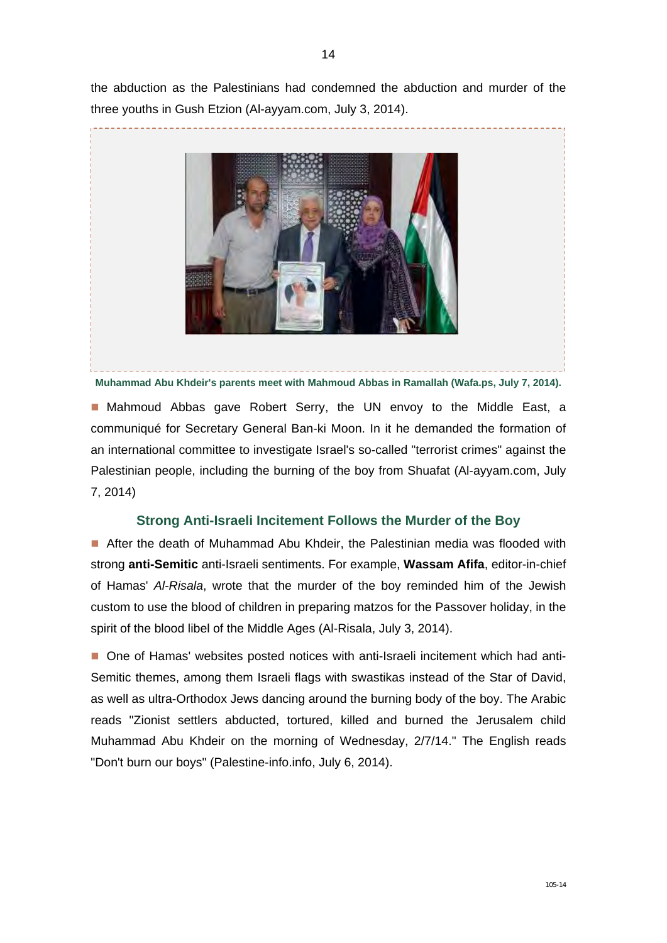the abduction as the Palestinians had condemned the abduction and murder of the three youths in Gush Etzion (Al-ayyam.com, July 3, 2014).



**Muhammad Abu Khdeir's parents meet with Mahmoud Abbas in Ramallah (Wafa.ps, July 7, 2014).** 

**E** Mahmoud Abbas gave Robert Serry, the UN envoy to the Middle East, a communiqué for Secretary General Ban-ki Moon. In it he demanded the formation of an international committee to investigate Israel's so-called "terrorist crimes" against the Palestinian people, including the burning of the boy from Shuafat (Al-ayyam.com, July 7, 2014)

#### **Strong Anti-Israeli Incitement Follows the Murder of the Boy**

After the death of Muhammad Abu Khdeir, the Palestinian media was flooded with strong **anti-Semitic** anti-Israeli sentiments. For example, **Wassam Afifa**, editor-in-chief of Hamas' *Al-Risala*, wrote that the murder of the boy reminded him of the Jewish custom to use the blood of children in preparing matzos for the Passover holiday, in the spirit of the blood libel of the Middle Ages (Al-Risala, July 3, 2014).

 One of Hamas' websites posted notices with anti-Israeli incitement which had anti-Semitic themes, among them Israeli flags with swastikas instead of the Star of David, as well as ultra-Orthodox Jews dancing around the burning body of the boy. The Arabic reads "Zionist settlers abducted, tortured, killed and burned the Jerusalem child Muhammad Abu Khdeir on the morning of Wednesday, 2/7/14." The English reads "Don't burn our boys" (Palestine-info.info, July 6, 2014).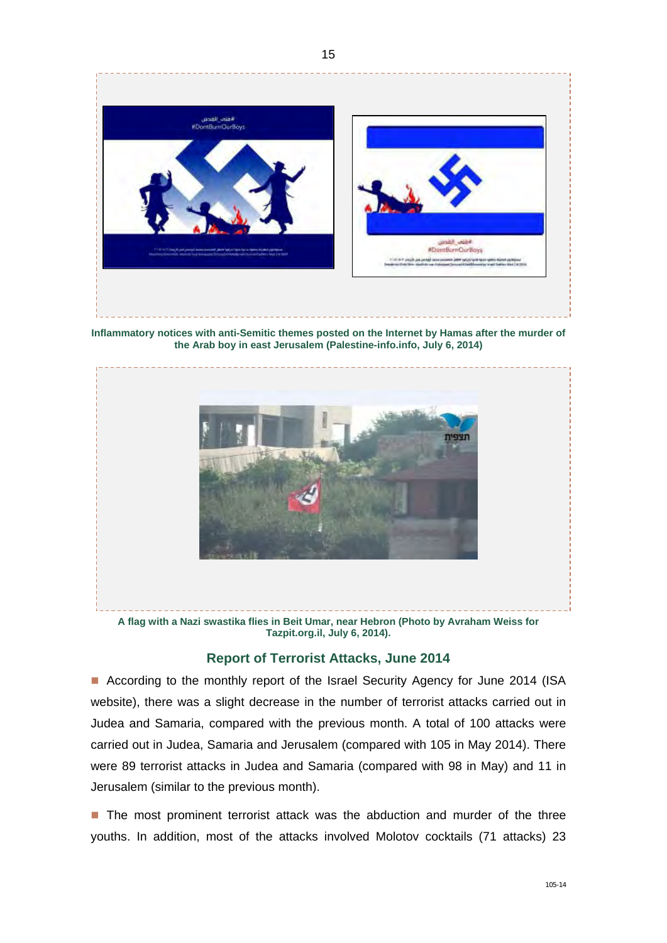

**Inflammatory notices with anti-Semitic themes posted on the Internet by Hamas after the murder of the Arab boy in east Jerusalem (Palestine-info.info, July 6, 2014)** 



**A flag with a Nazi swastika flies in Beit Umar, near Hebron (Photo by Avraham Weiss for Tazpit.org.il, July 6, 2014).** 

#### **Report of Terrorist Attacks, June 2014**

■ According to the monthly report of the Israel Security Agency for June 2014 (ISA website), there was a slight decrease in the number of terrorist attacks carried out in Judea and Samaria, compared with the previous month. A total of 100 attacks were carried out in Judea, Samaria and Jerusalem (compared with 105 in May 2014). There were 89 terrorist attacks in Judea and Samaria (compared with 98 in May) and 11 in Jerusalem (similar to the previous month).

■ The most prominent terrorist attack was the abduction and murder of the three youths. In addition, most of the attacks involved Molotov cocktails (71 attacks) 23